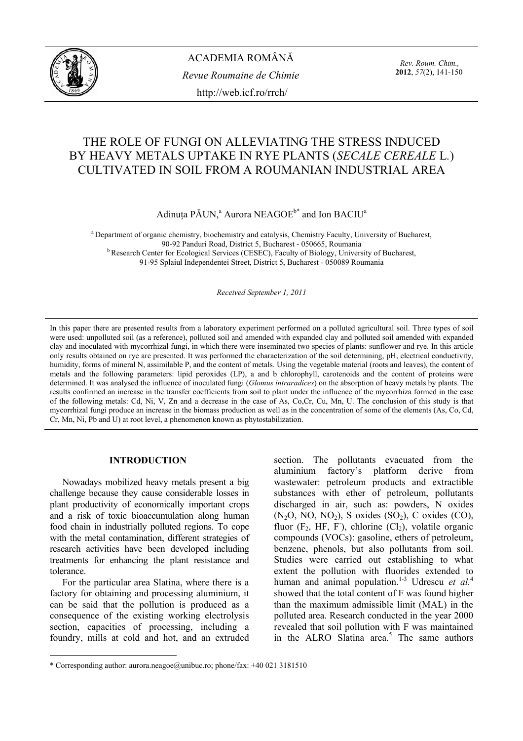

ACADEMIA ROMÂNĂ *Revue Roumaine de Chimie*  http://web.icf.ro/rrch/

*Rev. Roum. Chim.,*  **2012**, *57*(2), 141-150

# THE ROLE OF FUNGI ON ALLEVIATING THE STRESS INDUCED BY HEAVY METALS UPTAKE IN RYE PLANTS (*SECALE CEREALE* L*.*) CULTIVATED IN SOIL FROM A ROUMANIAN INDUSTRIAL AREA

Adinuța PĂUN,<sup>a</sup> Aurora NEAGOE $^{b^*}$  and Ion BACIU<sup>a</sup>

a Department of organic chemistry, biochemistry and catalysis, Chemistry Faculty, University of Bucharest, 90-92 Panduri Road, District 5, Bucharest - 050665, Roumania<br><sup>b</sup> Research Center for Ecological Services (CESEC), Faculty of Biology, University of Bucharest, 91-95 Splaiul Independentei Street, District 5, Bucharest - 050089 Roumania

*Received September 1, 2011* 

In this paper there are presented results from a laboratory experiment performed on a polluted agricultural soil. Three types of soil were used: unpolluted soil (as a reference), polluted soil and amended with expanded clay and polluted soil amended with expanded clay and inoculated with mycorrhizal fungi, in which there were inseminated two species of plants: sunflower and rye. In this article only results obtained on rye are presented. It was performed the characterization of the soil determining, pH, electrical conductivity, humidity, forms of mineral N, assimilable P, and the content of metals. Using the vegetable material (roots and leaves), the content of metals and the following parameters: lipid peroxides (LP), a and b chlorophyll, carotenoids and the content of proteins were determined. It was analysed the influence of inoculated fungi (*Glomus intraradices*) on the absorption of heavy metals by plants. The results confirmed an increase in the transfer coefficients from soil to plant under the influence of the mycorrhiza formed in the case of the following metals: Cd, Ni, V, Zn and a decrease in the case of As, Co,Cr, Cu, Mn, U. The conclusion of this study is that mycorrhizal fungi produce an increase in the biomass production as well as in the concentration of some of the elements (As, Co, Cd, Cr, Mn, Ni, Pb and U) at root level, a phenomenon known as phytostabilization.

# **INTRODUCTION**<sup>∗</sup>

Nowadays mobilized heavy metals present a big challenge because they cause considerable losses in plant productivity of economically important crops and a risk of toxic bioaccumulation along human food chain in industrially polluted regions. To cope with the metal contamination, different strategies of research activities have been developed including treatments for enhancing the plant resistance and tolerance.

For the particular area Slatina, where there is a factory for obtaining and processing aluminium, it can be said that the pollution is produced as a consequence of the existing working electrolysis section, capacities of processing, including a foundry, mills at cold and hot, and an extruded

 $\overline{a}$ 

section. The pollutants evacuated from the aluminium factory's platform derive from wastewater: petroleum products and extractible substances with ether of petroleum, pollutants discharged in air, such as: powders, N oxides  $(N<sub>2</sub>O, NO, NO<sub>2</sub>)$ , S oxides  $(SO<sub>2</sub>)$ , C oxides  $(CO)$ , fluor  $(F_2, HF, F)$ , chlorine  $(Cl_2)$ , volatile organic compounds (VOCs): gasoline, ethers of petroleum, benzene, phenols, but also pollutants from soil. Studies were carried out establishing to what extent the pollution with fluorides extended to human and animal population.<sup>1-3</sup> Udrescu *et al.*<sup>4</sup> showed that the total content of F was found higher than the maximum admissible limit (MAL) in the polluted area. Research conducted in the year 2000 revealed that soil pollution with F was maintained in the ALRO Slatina area.<sup>5</sup> The same authors

<sup>∗</sup> \* Corresponding author: aurora.neagoe@unibuc.ro; phone/fax: +40 021 3181510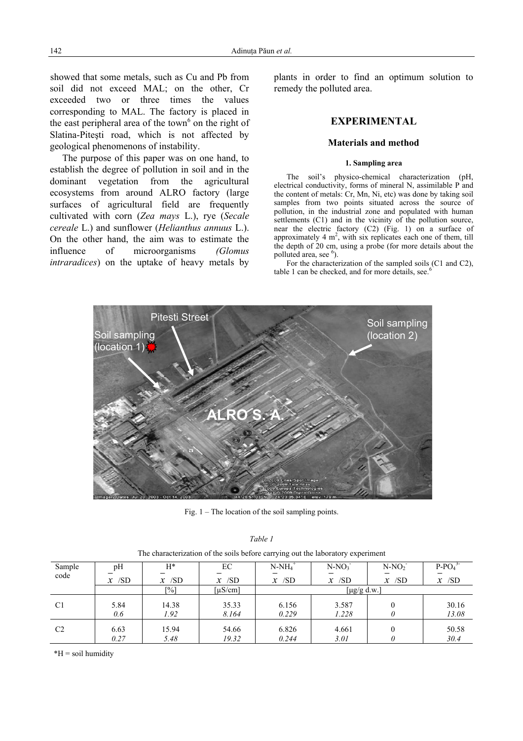showed that some metals, such as Cu and Pb from soil did not exceed MAL; on the other, Cr exceeded two or three times the values corresponding to MAL. The factory is placed in the east peripheral area of the town $6$  on the right of Slatina-Piteşti road, which is not affected by geological phenomenons of instability.

The purpose of this paper was on one hand, to establish the degree of pollution in soil and in the dominant vegetation from the agricultural ecosystems from around ALRO factory (large surfaces of agricultural field are frequently cultivated with corn (*Zea mays* L.), rye (*Secale cereale* L.) and sunflower (*Helianthus annuus* L.). On the other hand, the aim was to estimate the influence of microorganisms *(Glomus intraradices*) on the uptake of heavy metals by

plants in order to find an optimum solution to remedy the polluted area.

# **EXPERIMENTAL**

## **Materials and method**

## **1. Sampling area**

The soil's physico-chemical characterization (pH, electrical conductivity, forms of mineral N, assimilable P and the content of metals: Cr, Mn, Ni, etc) was done by taking soil samples from two points situated across the source of pollution, in the industrial zone and populated with human settlements  $(C1)$  and in the vicinity of the pollution source. near the electric factory (C2) (Fig. 1) on a surface of approximately  $4 \text{ m}^2$ , with six replicates each one of them, till the depth of 20 cm, using a probe (for more details about the polluted area, see  $\frac{6}{2}$ .

For the characterization of the sampled soils (C1 and C2), table 1 can be checked, and for more details, see.<sup>6</sup>



Fig.  $1 -$ The location of the soil sampling points.

|--|--|

| Sample<br>code | pH<br>$x$ /SD | H*<br>$x$ /SD       | EC<br>$x$ /SD | $N-NH4$ <sup>+</sup><br>$x$ /SD | $N-NO_3$<br>$x$ /SD | $N-NO2$<br>$x$ /SD | $P-PO4$<br>$x$ /SD |
|----------------|---------------|---------------------|---------------|---------------------------------|---------------------|--------------------|--------------------|
|                |               | $\lceil 0/6 \rceil$ | [µS/cm]       |                                 | [ $\mu$ g/g d.w.]   |                    |                    |
|                |               |                     |               |                                 |                     |                    |                    |
| C <sub>1</sub> | 5.84          | 14.38               | 35.33         | 6.156                           | 3.587               |                    | 30.16              |
|                | 0.6           | 1.92                | 8.164         | 0.229                           | 1.228               |                    | 13.08              |
| C <sub>2</sub> | 6.63          | 15.94               | 54.66         | 6.826                           | 4.661               |                    | 50.58              |
|                |               |                     |               |                                 |                     |                    |                    |
|                | 0.27          | 5.48                | 19.32         | 0.244                           | 3.01                |                    | 30.4               |

The characterization of the soils before carrying out the laboratory experiment

\*H = soil humidity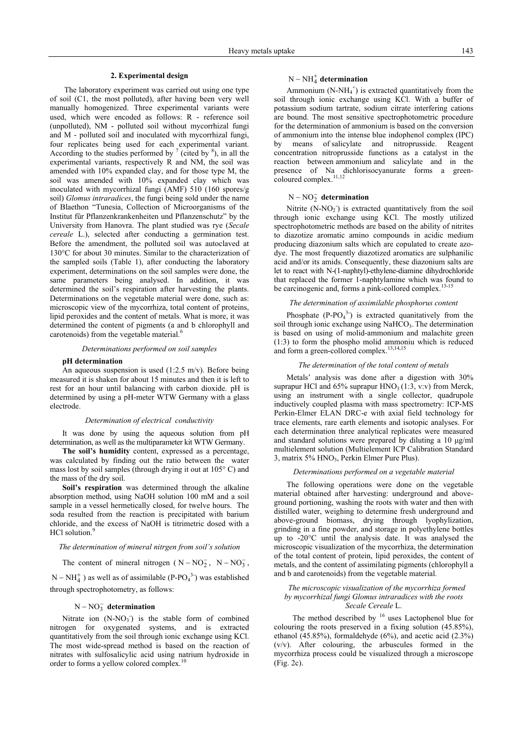#### **2. Experimental design**

 The laboratory experiment was carried out using one type of soil (C1, the most polluted), after having been very well manually homogenized. Three experimental variants were used, which were encoded as follows: R - reference soil (unpolluted), NM - polluted soil without mycorrhizal fungi and M - polluted soil and inoculated with mycorrhizal fungi, four replicates being used for each experimental variant. According to the studies performed by  $\frac{7}{1}$  (cited by  $\frac{8}{1}$ ), in all the experimental variants, respectively R and NM, the soil was amended with 10% expanded clay, and for those type M, the soil was amended with 10% expanded clay which was inoculated with mycorrhizal fungi (AMF) 510 (160 spores/g soil) *Glomus intraradices*, the fungi being sold under the name of Blaethon "Tunesia, Collection of Microorganisms of the Institut fűr Pflanzenkrankenheiten und Pflanzenschutz" by the University from Hanovra. The plant studied was rye (*Secale cereale* L.), selected after conducting a germination test. Before the amendment, the polluted soil was autoclaved at 130°C for about 30 minutes. Similar to the characterization of the sampled soils (Table 1), after conducting the laboratory experiment, determinations on the soil samples were done, the same parameters being analysed. In addition, it was determined the soil's respiration after harvesting the plants. Determinations on the vegetable material were done, such as: microscopic view of the mycorrhiza, total content of proteins, lipid peroxides and the content of metals. What is more, it was determined the content of pigments (a and b chlorophyll and carotenoids) from the vegetable material.<sup>6</sup>

*Determinations performed on soil samples* 

## **pH determination**

An aqueous suspension is used  $(1:2.5 \text{ m/v})$ . Before being measured it is shaken for about 15 minutes and then it is left to rest for an hour until balancing with carbon dioxide. pH is determined by using a pH-meter WTW Germany with a glass electrode.

#### *Determination of electrical conductivity*

It was done by using the aqueous solution from pH determination, as well as the multiparameter kit WTW Germany.

**The soil's humidity** content, expressed as a percentage, was calculated by finding out the ratio between the water mass lost by soil samples (through drying it out at 105° C) and the mass of the dry soil.

**Soil's respiration** was determined through the alkaline absorption method, using NaOH solution 100 mM and a soil sample in a vessel hermetically closed, for twelve hours. The soda resulted from the reaction is precipitated with barium chloride, and the excess of NaOH is titrimetric dosed with a HCl solution.<sup>9</sup>

#### *The determination of mineral nitrgen from soil's solution*

The content of mineral nitrogen ( $N - NO_2^-$ ,  $N - NO_3^-$ ,

 $N - NH<sub>4</sub><sup>+</sup>$ ) as well as of assimilable (P-PO<sub>4</sub><sup>3</sup>) was established through spectrophotometry, as follows:

# $N - NO_3^-$  determination

Nitrate ion  $(N-NO<sub>3</sub>)$  is the stable form of combined nitrogen for oxygenated systems, and is extracted quantitatively from the soil through ionic exchange using KCl. The most wide-spread method is based on the reaction of nitrates with sulfosalicylic acid using natrium hydroxide in order to forms a yellow colored complex.<sup>10</sup>

# N − NH<sup>+</sup><sub>4</sub> determination

Ammonium  $(N-NH_4^+)$  is extracted quantitatively from the soil through ionic exchange using KCl. With a buffer of potassium sodium tartrate, sodium citrate interfering cations are bound. The most sensitive spectrophotometric procedure for the determination of ammonium is based on the conversion of ammonium into the intense blue indophenol complex (IPC) by means of salicylate and nitroprusside. Reagent concentration nitroprusside functions as a catalyst in the reaction between ammonium and salicylate and in the presence of Na dichlorisocyanurate forms a greencoloured complex.<sup>11,12</sup>

# $N - NO_2^-$  determination

Nitrite  $(N-NO<sub>2</sub>)$  is extracted quantitatively from the soil through ionic exchange using KCl. The mostly utilized spectrophotometric methods are based on the ability of nitrites to diazotize aromatic amino compounds in acidic medium producing diazonium salts which are copulated to create azodye. The most frequently diazotized aromatics are sulphanilic acid and/or its amids. Consequently, these diazonium salts are let to react with N-(1-naphtyl)-ethylene-diamine dihydrochloride that replaced the former 1-naphtylamine which was found to be carcinogenic and, forms a pink-collored complex.<sup>13-15</sup>

#### *The determination of assimilable phosphorus content*

Phosphate  $(P-PO<sub>4</sub><sup>3</sup>)$  is extracted quanitatively from the soil through ionic exchange using NaHCO<sub>3</sub>. The determination is based on using of molid-ammonium and malachite green (1:3) to form the phospho molid ammoniu which is reduced and form a green-collored complex.<sup>13,14,15</sup>

#### *The determination of the total content of metals*

Metals' analysis was done after a digestion with 30% suprapur HCl and  $65\%$  suprapur HNO<sub>3</sub> (1:3, v:v) from Merck, using an instrument with a single collector, quadrupole inductively coupled plasma with mass spectrometry: ICP-MS Perkin-Elmer ELAN DRC-e with axial field technology for trace elements, rare earth elements and isotopic analyses. For each determination three analytical replicates were measured and standard solutions were prepared by diluting a 10 µg/ml multielement solution (Multielement ICP Calibration Standard 3, matrix 5% HNO<sub>3</sub>, Perkin Elmer Pure Plus).

#### *Determinations performed on a vegetable material*

The following operations were done on the vegetable material obtained after harvesting: underground and aboveground portioning, washing the roots with water and then with distilled water, weighing to determine fresh underground and above-ground biomass, drying through lyophylization, grinding in a fine powder, and storage in polyethylene bottles up to -20°C until the analysis date. It was analysed the microscopic visualization of the mycorrhiza, the determination of the total content of protein, lipid peroxides, the content of metals, and the content of assimilating pigments (chlorophyll a and b and carotenoids) from the vegetable material.

## *The microscopic visualization of the mycorrhiza formed by mycorrhizal fungi Glomus intraradices with the roots Secale Cereale* L.

The method described by <sup>16</sup> uses Lactophenol blue for colouring the roots preserved in a fixing solution (45.85%), ethanol (45.85%), formaldehyde (6%), and acetic acid (2.3%) (v/v). After colouring, the arbuscules formed in the mycorrhiza process could be visualized through a microscope (Fig. 2c).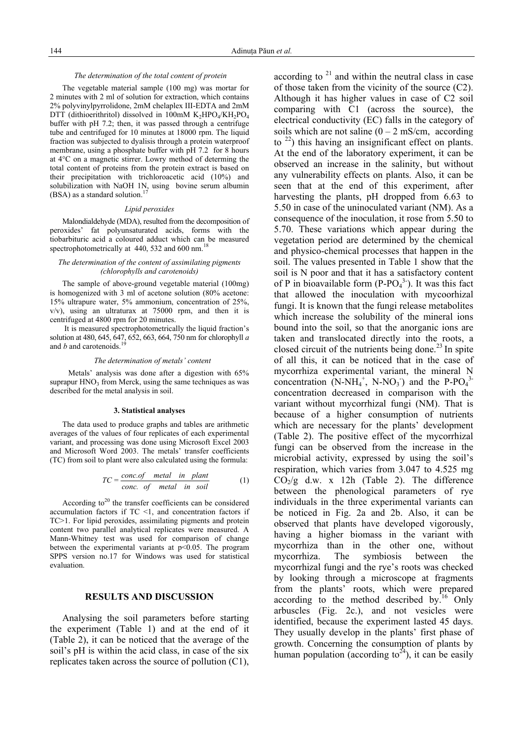### *The determination of the total content of protein*

The vegetable material sample (100 mg) was mortar for 2 minutes with 2 ml of solution for extraction, which contains 2% polyvinylpyrrolidone, 2mM chelaplex III-EDTA and 2mM DTT (dithioerithritol) dissolved in 100mM  $K_2HPO_4/KH_2PO_4$ buffer with pH 7.2; then, it was passed through a centrifuge tube and centrifuged for 10 minutes at 18000 rpm. The liquid fraction was subjected to dyalisis through a protein waterproof membrane, using a phosphate buffer with pH 7.2 for 8 hours at 4°C on a magnetic stirrer. Lowry method of determing the total content of proteins from the protein extract is based on their precipitation with trichloroacetic acid (10%) and solubilization with NaOH  $1N<sub>2</sub>$  using bovine serum albumin  $(BSA)$  as a standard solution.<sup>1</sup>

## *Lipid peroxides*

Malondialdehyde (MDA), resulted from the decomposition of peroxides' fat polyunsaturated acids, forms with the tiobarbituric acid a coloured adduct which can be measured spectrophotometrically at  $440, 532$  and  $600$  nm.<sup>18</sup>

## *The determination of the content of assimilating pigments (chlorophylls and carotenoids)*

The sample of above-ground vegetable material (100mg) is homogenized with 3 ml of acetone solution (80% acetone: 15% ultrapure water, 5% ammonium, concentration of 25%,  $v/v$ , using an ultraturax at 75000 rpm, and then it is centrifuged at 4800 rpm for 20 minutes.

 It is measured spectrophotometrically the liquid fraction's solution at 480, 645, 647, 652, 663, 664, 750 nm for chlorophyll *a* and *b* and carotenoids.<sup>19</sup>

### *The determination of metals' content*

 Metals' analysis was done after a digestion with 65% suprapur  $HNO<sub>3</sub>$  from Merck, using the same techniques as was described for the metal analysis in soil.

#### **3. Statistical analyses**

The data used to produce graphs and tables are arithmetic averages of the values of four replicates of each experimental variant, and processing was done using Microsoft Excel 2003 and Microsoft Word 2003. The metals' transfer coefficients (TC) from soil to plant were also calculated using the formula:

$$
TC = \frac{conc. \text{ of } metal \text{ in plant}}{conc. \text{ of } metal \text{ in soil}}
$$
 (1)

According to<sup>20</sup> the transfer coefficients can be considered accumulation factors if TC <1, and concentration factors if TC>1. For lipid peroxides, assimilating pigments and protein content two parallel analytical replicates were measured. A Mann-Whitney test was used for comparison of change between the experimental variants at  $p<0.05$ . The program SPPS version no.17 for Windows was used for statistical evaluation.

# **RESULTS AND DISCUSSION**

Analysing the soil parameters before starting the experiment (Table 1) and at the end of it (Table 2), it can be noticed that the average of the soil's pH is within the acid class, in case of the six replicates taken across the source of pollution (C1), according to  $2<sup>1</sup>$  and within the neutral class in case of those taken from the vicinity of the source (C2). Although it has higher values in case of C2 soil comparing with C1 (across the source), the electrical conductivity (EC) falls in the category of soils which are not saline  $(0 - 2 \text{ mS/cm}, \text{ according}$ to  $^{22}$ ) this having an insignificant effect on plants. At the end of the laboratory experiment, it can be observed an increase in the salinity, but without any vulnerability effects on plants. Also, it can be seen that at the end of this experiment, after harvesting the plants, pH dropped from 6.63 to 5.50 in case of the uninoculated variant (NM). As a consequence of the inoculation, it rose from 5.50 to 5.70. These variations which appear during the vegetation period are determined by the chemical and physico-chemical processes that happen in the soil. The values presented in Table 1 show that the soil is N poor and that it has a satisfactory content of P in bioavailable form  $(P-PO<sub>4</sub><sup>3</sup>)$ . It was this fact that allowed the inoculation with mycoorhizal fungi. It is known that the fungi release metabolites which increase the solubility of the mineral ions bound into the soil, so that the anorganic ions are taken and translocated directly into the roots, a closed circuit of the nutrients being done.<sup>23</sup> In spite of all this, it can be noticed that in the case of mycorrhiza experimental variant, the mineral N concentration  $(N-NH_4^+, N-NO_3^-)$  and the P-PO<sub>4</sub><sup>3-</sup> concentration decreased in comparison with the variant without mycorrhizal fungi (NM). That is because of a higher consumption of nutrients which are necessary for the plants' development (Table 2). The positive effect of the mycorrhizal fungi can be observed from the increase in the microbial activity, expressed by using the soil's respiration, which varies from 3.047 to 4.525 mg  $CO<sub>2</sub>/g$  d.w. x 12h (Table 2). The difference between the phenological parameters of rye individuals in the three experimental variants can be noticed in Fig. 2a and 2b. Also, it can be observed that plants have developed vigorously, having a higher biomass in the variant with mycorrhiza than in the other one, without mycorrhiza. The symbiosis between the mycorrhizal fungi and the rye's roots was checked by looking through a microscope at fragments from the plants' roots, which were prepared according to the method described by.<sup>16</sup> Only arbuscles (Fig. 2c.), and not vesicles were identified, because the experiment lasted 45 days. They usually develop in the plants' first phase of growth. Concerning the consumption of plants by human population (according to<sup>24</sup>), it can be easily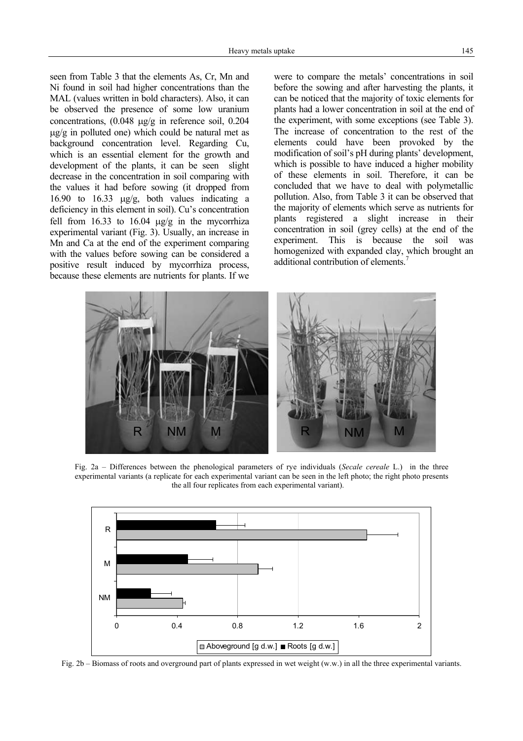seen from Table 3 that the elements As, Cr, Mn and Ni found in soil had higher concentrations than the MAL (values written in bold characters). Also, it can be observed the presence of some low uranium concentrations, (0.048 µg/g in reference soil, 0.204  $\mu$ g/g in polluted one) which could be natural met as background concentration level. Regarding Cu, which is an essential element for the growth and development of the plants, it can be seen slight decrease in the concentration in soil comparing with the values it had before sowing (it dropped from 16.90 to 16.33 µg/g, both values indicating a deficiency in this element in soil). Cu's concentration fell from  $16.33$  to  $16.04$   $\mu$ g/g in the mycorrhiza experimental variant (Fig. 3). Usually, an increase in Mn and Ca at the end of the experiment comparing with the values before sowing can be considered a positive result induced by mycorrhiza process, because these elements are nutrients for plants. If we

were to compare the metals' concentrations in soil before the sowing and after harvesting the plants, it can be noticed that the majority of toxic elements for plants had a lower concentration in soil at the end of the experiment, with some exceptions (see Table 3). The increase of concentration to the rest of the elements could have been provoked by the modification of soil's pH during plants' development, which is possible to have induced a higher mobility of these elements in soil. Therefore, it can be concluded that we have to deal with polymetallic pollution. Also, from Table 3 it can be observed that the majority of elements which serve as nutrients for plants registered a slight increase in their concentration in soil (grey cells) at the end of the experiment. This is because the soil was homogenized with expanded clay, which brought an additional contribution of elements.<sup>7</sup>



Fig. 2a – Differences between the phenological parameters of rye individuals (*Secale cereale* L.) in the three experimental variants (a replicate for each experimental variant can be seen in the left photo; the right photo presents the all four replicates from each experimental variant).



Fig. 2b – Biomass of roots and overground part of plants expressed in wet weight (w.w.) in all the three experimental variants.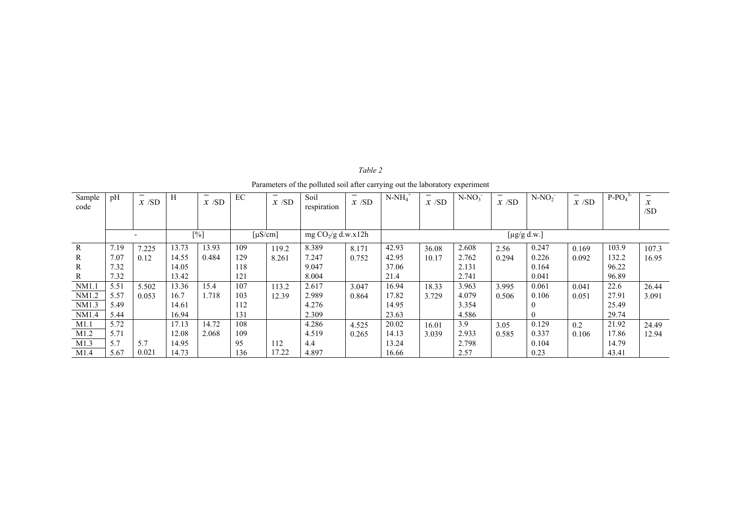| Sample<br>code | pH   | $x$ /SD | $\mathbf H$ | $x$ /SD | EC  | $x$ /SD                  | Soil<br>respiration  | —<br>$x$ /SD | $N-NH_4$ <sup>+</sup> | $x$ /SD | $N-NO_3$ | $x$ /SD | $N-NO2$           | $x$ /SD | $P-PO43$ | $\boldsymbol{x}$<br>/SD |
|----------------|------|---------|-------------|---------|-----|--------------------------|----------------------|--------------|-----------------------|---------|----------|---------|-------------------|---------|----------|-------------------------|
|                |      |         |             |         |     |                          |                      |              |                       |         |          |         |                   |         |          |                         |
|                |      |         |             | [%]     |     | $\lceil \mu S/cm \rceil$ | mg $CO_2/g$ d.w.x12h |              |                       |         |          |         | [ $\mu$ g/g d.w.] |         |          |                         |
| $\mathbb{R}$   | 7.19 | 7.225   | 13.73       | 13.93   | 109 | 119.2                    | 8.389                | 8.171        | 42.93                 | 36.08   | 2.608    | 2.56    | 0.247             | 0.169   | 103.9    | 107.3                   |
| R              | 7.07 | 0.12    | 14.55       | 0.484   | 129 | 8.261                    | 7.247                | 0.752        | 42.95                 | 10.17   | 2.762    | 0.294   | 0.226             | 0.092   | 132.2    | 16.95                   |
| R              | 7.32 |         | 14.05       |         | 118 |                          | 9.047                |              | 37.06                 |         | 2.131    |         | 0.164             |         | 96.22    |                         |
| R              | 7.32 |         | 13.42       |         | 121 |                          | 8.004                |              | 21.4                  |         | 2.741    |         | 0.041             |         | 96.89    |                         |
| NM1.1          | 5.51 | 5.502   | 13.36       | 15.4    | 107 | 113.2                    | 2.617                | 3.047        | 16.94                 | 18.33   | 3.963    | 3.995   | 0.061             | 0.041   | 22.6     | 26.44                   |
| NM1.2          | 5.57 | 0.053   | 16.7        | .718    | 103 | 12.39                    | 2.989                | 0.864        | 17.82                 | 3.729   | 4.079    | 0.506   | 0.106             | 0.051   | 27.91    | 3.091                   |
| NM1.3          | 5.49 |         | 14.61       |         | 112 |                          | 4.276                |              | 14.95                 |         | 3.354    |         |                   |         | 25.49    |                         |
| NM1.4          | 5.44 |         | 16.94       |         | 131 |                          | 2.309                |              | 23.63                 |         | 4.586    |         | $\theta$          |         | 29.74    |                         |
| M1.1           | 5.72 |         | 17.13       | 14.72   | 108 |                          | 4.286                | 4.525        | 20.02                 | 16.01   | 3.9      | 3.05    | 0.129             | 0.2     | 21.92    | 24.49                   |
| M1.2           | 5.71 |         | 12.08       | 2.068   | 109 |                          | 4.519                | 0.265        | 14.13                 | 3.039   | 2.933    | 0.585   | 0.337             | 0.106   | 17.86    | 12.94                   |
| M1.3           | 5.7  | 5.7     | 14.95       |         | 95  | 112                      | 4.4                  |              | 13.24                 |         | 2.798    |         | 0.104             |         | 14.79    |                         |
| M1.4           | 5.67 | 0.021   | 14.73       |         | 136 | 17.22                    | 4.897                |              | 16.66                 |         | 2.57     |         | 0.23              |         | 43.41    |                         |

*Table 2*  Parameters of the polluted soil after carrying out the laboratory experiment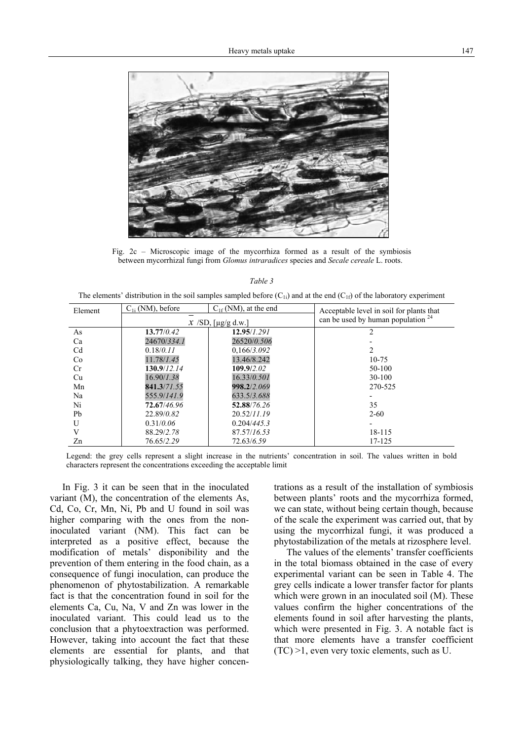

Fig. 2c – Microscopic image of the mycorrhiza formed as a result of the symbiosis between mycorrhizal fungi from *Glomus intraradices* species and *Secale cereale* L. roots.

| ۰, |  |
|----|--|
|----|--|

The elements' distribution in the soil samples sampled before  $(C_{1i})$  and at the end  $(C_{1f})$  of the laboratory experiment

| Element | $C_{1i}$ (NM), before | $C_{1f}$ (NM), at the end | Acceptable level in soil for plants that |  |  |
|---------|-----------------------|---------------------------|------------------------------------------|--|--|
|         |                       | $\chi$ /SD, [µg/g d.w.]   | can be used by human population $24$     |  |  |
| As      | 13.77/0.42            | 12.95/1.291               | $\overline{2}$                           |  |  |
| Ca      | 24670/334.1           | 26520/0.506               |                                          |  |  |
| Cd      | 0.18/0.11             | 0,166/3.092               |                                          |  |  |
| Co      | 11.78/1.45            | 13.46/8.242               | $10 - 75$                                |  |  |
| Cr      | 130.9/12.14           | 109.9/2.02                | 50-100                                   |  |  |
| Cu      | 16.90/1.38            | 16.33/0.501               | $30-100$                                 |  |  |
| Mn      | 841.3/71.55           | 998.2/2.069               | 270-525                                  |  |  |
| Na      | 555.9/141.9           | 633.5/3.688               |                                          |  |  |
| Ni      | 72.67/46.96           | 52.88/76.26               | 35                                       |  |  |
| Pb      | 22.89/0.82            | 20.52/11.19               | $2 - 60$                                 |  |  |
| U       | 0.31/0.06             | 0.204/445.3               |                                          |  |  |
|         | 88.29/2.78            | 87.57/16.53               | 18-115                                   |  |  |
| Zn      | 76.65/2.29            | 72.63/6.59                | 17-125                                   |  |  |

Legend: the grey cells represent a slight increase in the nutrients' concentration in soil. The values written in bold characters represent the concentrations exceeding the acceptable limit

In Fig. 3 it can be seen that in the inoculated variant (M), the concentration of the elements As, Cd, Co, Cr, Mn, Ni, Pb and U found in soil was higher comparing with the ones from the noninoculated variant (NM). This fact can be interpreted as a positive effect, because the modification of metals' disponibility and the prevention of them entering in the food chain, as a consequence of fungi inoculation, can produce the phenomenon of phytostabilization. A remarkable fact is that the concentration found in soil for the elements Ca, Cu, Na, V and Zn was lower in the inoculated variant. This could lead us to the conclusion that a phytoextraction was performed. However, taking into account the fact that these elements are essential for plants, and that physiologically talking, they have higher concentrations as a result of the installation of symbiosis between plants' roots and the mycorrhiza formed, we can state, without being certain though, because of the scale the experiment was carried out, that by using the mycorrhizal fungi, it was produced a phytostabilization of the metals at rizosphere level.

The values of the elements' transfer coefficients in the total biomass obtained in the case of every experimental variant can be seen in Table 4. The grey cells indicate a lower transfer factor for plants which were grown in an inoculated soil (M). These values confirm the higher concentrations of the elements found in soil after harvesting the plants, which were presented in Fig. 3. A notable fact is that more elements have a transfer coefficient (TC) >1, even very toxic elements, such as U.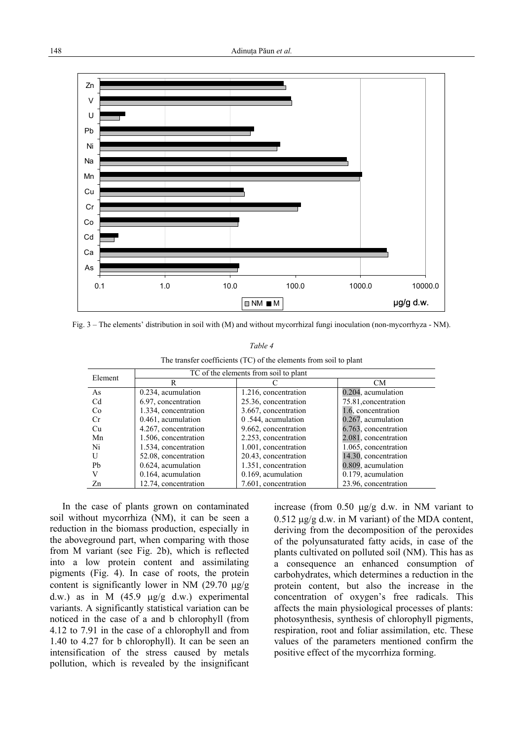

Fig. 3 – The elements' distribution in soil with (M) and without mycorrhizal fungi inoculation (non-mycorrhyza - NM).

## *Table 4*

The transfer coefficients (TC) of the elements from soil to plant

| Element        | TC of the elements from soil to plant |                      |                      |  |  |  |  |  |
|----------------|---------------------------------------|----------------------|----------------------|--|--|--|--|--|
|                | R                                     |                      | <b>CM</b>            |  |  |  |  |  |
| As             | 0.234, acumulation                    | 1.216, concentration | 0.204, acumulation   |  |  |  |  |  |
| Cd             | 6.97, concentration                   | 25.36, concentration | 75.81, concentration |  |  |  |  |  |
| C <sub>0</sub> | 1.334, concentration                  | 3.667, concentration | 1.6, concentration   |  |  |  |  |  |
| <b>Cr</b>      | 0.461, acumulation                    | 0.544, acumulation   | 0.267, acumulation   |  |  |  |  |  |
| Cu             | 4.267, concentration                  | 9.662, concentration | 6.763, concentration |  |  |  |  |  |
| Mn             | 1.506, concentration                  | 2.253, concentration | 2.081, concentration |  |  |  |  |  |
| Ni             | 1.534, concentration                  | 1.001, concentration | 1.065, concentration |  |  |  |  |  |
| U              | 52.08, concentration                  | 20.43, concentration | 14.30, concentration |  |  |  |  |  |
| Ph             | 0.624, acumulation                    | 1.351, concentration | 0.809, acumulation   |  |  |  |  |  |
| V              | 0.164, acumulation                    | 0.169, acumulation   | 0.179, acumulation   |  |  |  |  |  |
| Zn             | 12.74, concentration                  | 7.601, concentration | 23.96, concentration |  |  |  |  |  |

In the case of plants grown on contaminated soil without mycorrhiza (NM), it can be seen a reduction in the biomass production, especially in the aboveground part, when comparing with those from M variant (see Fig. 2b), which is reflected into a low protein content and assimilating pigments (Fig. 4). In case of roots, the protein content is significantly lower in NM  $(29.70 \text{ kg/g})$ d.w.) as in M  $(45.9 \text{ µg/g d.w.})$  experimental variants. A significantly statistical variation can be noticed in the case of a and b chlorophyll (from 4.12 to 7.91 in the case of a chlorophyll and from 1.40 to 4.27 for b chlorophyll). It can be seen an intensification of the stress caused by metals pollution, which is revealed by the insignificant increase (from 0.50 µg/g d.w. in NM variant to  $0.512 \text{ µg/g d.w. in M variant}$  of the MDA content, deriving from the decomposition of the peroxides of the polyunsaturated fatty acids, in case of the plants cultivated on polluted soil (NM). This has as a consequence an enhanced consumption of carbohydrates, which determines a reduction in the protein content, but also the increase in the concentration of oxygen's free radicals. This affects the main physiological processes of plants: photosynthesis, synthesis of chlorophyll pigments, respiration, root and foliar assimilation, etc. These values of the parameters mentioned confirm the positive effect of the mycorrhiza forming.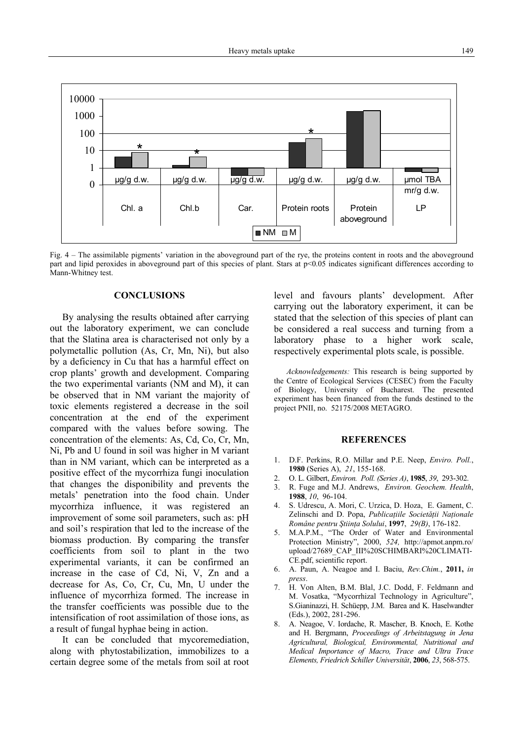

Fig. 4 – The assimilable pigments' variation in the aboveground part of the rye, the proteins content in roots and the aboveground part and lipid peroxides in aboveground part of this species of plant. Stars at p<0.05 indicates significant differences according to Mann-Whitney test.

# **CONCLUSIONS**

By analysing the results obtained after carrying out the laboratory experiment, we can conclude that the Slatina area is characterised not only by a polymetallic pollution (As, Cr, Mn, Ni), but also by a deficiency in Cu that has a harmful effect on crop plants' growth and development. Comparing the two experimental variants (NM and M), it can be observed that in NM variant the majority of toxic elements registered a decrease in the soil concentration at the end of the experiment compared with the values before sowing. The concentration of the elements: As, Cd, Co, Cr, Mn, Ni, Pb and U found in soil was higher in M variant than in NM variant, which can be interpreted as a positive effect of the mycorrhiza fungi inoculation that changes the disponibility and prevents the metals' penetration into the food chain. Under mycorrhiza influence, it was registered an improvement of some soil parameters, such as: pH and soil's respiration that led to the increase of the biomass production. By comparing the transfer coefficients from soil to plant in the two experimental variants, it can be confirmed an increase in the case of Cd, Ni, V, Zn and a decrease for As, Co, Cr, Cu, Mn, U under the influence of mycorrhiza formed. The increase in the transfer coefficients was possible due to the intensification of root assimilation of those ions, as a result of fungal hyphae being in action.

It can be concluded that mycoremediation, along with phytostabilization, immobilizes to a certain degree some of the metals from soil at root level and favours plants' development. After carrying out the laboratory experiment, it can be stated that the selection of this species of plant can be considered a real success and turning from a laboratory phase to a higher work scale, respectively experimental plots scale, is possible.

*Acknowledgements:* This research is being supported by the Centre of Ecological Services (CESEC) from the Faculty of Biology, University of Bucharest. The presented experiment has been financed from the funds destined to the project PNII, no. 52175/2008 METAGRO.

# **REFERENCES**

- 1. D.F. Perkins, R.O. Millar and P.E. Neep, *Enviro. Poll.*, **1980** (Series A), *21*, 155-168.
- 2. O. L. Gilbert, *Environ. Poll. (Series A)*, **1985**, *39*, 293-302.
- 3. R. Fuge and M.J. Andrews, *Environ. Geochem. Health*, **1988**, *10*, 96-104.
- 4. S. Udrescu, A. Mori, C. Urzica, D. Hoza, E. Gament, C. Zelinschi and D. Popa, *Publicaţiile Societăţii Naţionale Române pentru Ştiinţa Solului*, **1997**, *29(B)*, 176-182.
- 5. M.A.P.M., "The Order of Water and Environmental Protection Ministry", 2000, *524,* http://apmot.anpm.ro/ upload/27689\_CAP\_III%20SCHIMBARI%20CLIMATI-CE.pdf, scientific report.
- 6. A. Paun, A. Neagoe and I. Baciu, *Rev.Chim.*, **2011,** *in press*.
- 7. H. Von Alten, B.M. Blal, J.C. Dodd, F. Feldmann and M. Vosatka, "Mycorrhizal Technology in Agriculture", S.Gianinazzi, H. Schüepp, J.M. Barea and K. Haselwandter (Eds.), 2002, 281-296.
- 8. A. Neagoe, V. Iordache, R. Mascher, B. Knoch, E. Kothe and H. Bergmann, *Proceedings of Arbeitstagung in Jena Agricultural, Biological, Environmental, Nutritional and Medical Importance of Macro, Trace and Ultra Trace Elements, Friedrich Schiller Universität*, **2006**, *23*, 568-575.